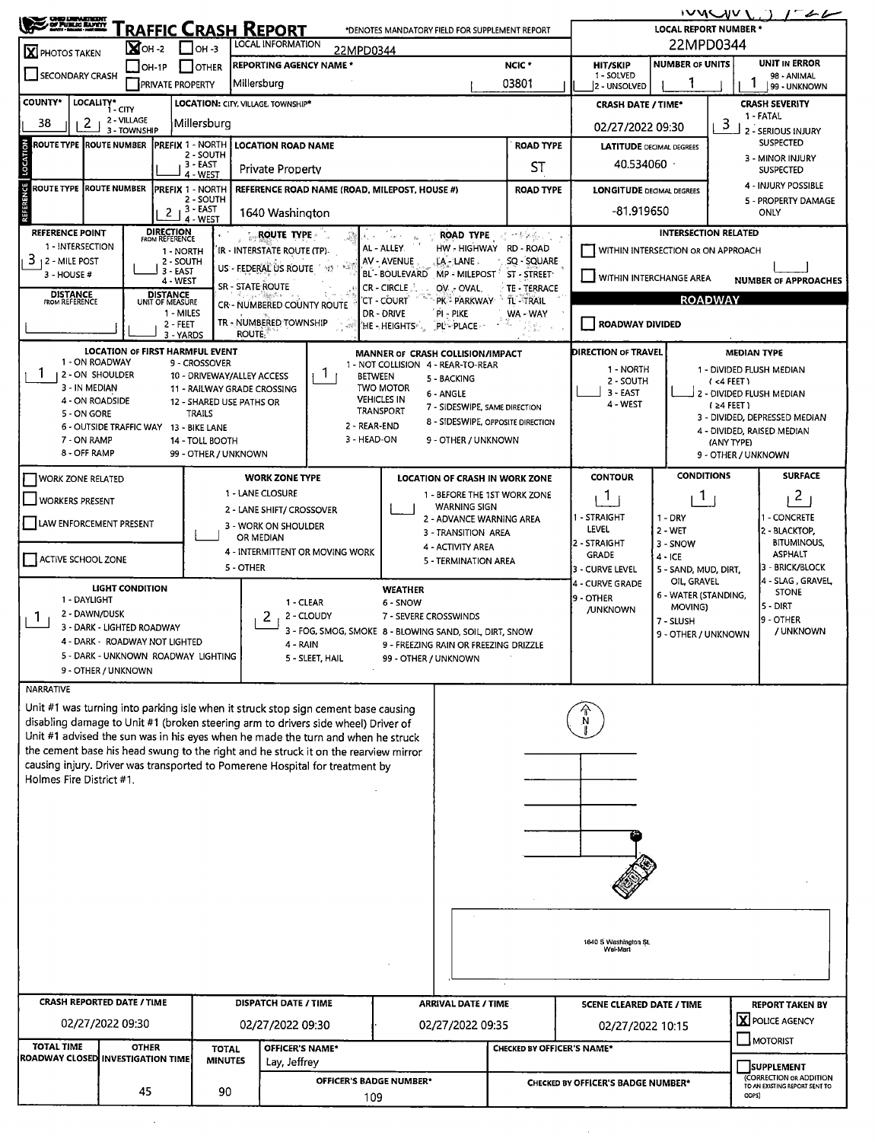| S ORD DEN ENDER<br>SI PUBLIC MAYER                                                                                                                                                                              |                                                                                                                                                                         |                                      |                                                                           |                                                         |                                        |                                                       |                                                                                    |                                                                   | ivnWVI<br>$-46$                           |                                         |  |  |  |  |
|-----------------------------------------------------------------------------------------------------------------------------------------------------------------------------------------------------------------|-------------------------------------------------------------------------------------------------------------------------------------------------------------------------|--------------------------------------|---------------------------------------------------------------------------|---------------------------------------------------------|----------------------------------------|-------------------------------------------------------|------------------------------------------------------------------------------------|-------------------------------------------------------------------|-------------------------------------------|-----------------------------------------|--|--|--|--|
| RAFFIC CRASH REPORT<br>*DENOTES MANDATORY FIELD FOR SUPPLEMENT REPORT<br>LOCAL INFORMATION                                                                                                                      |                                                                                                                                                                         |                                      |                                                                           |                                                         |                                        |                                                       |                                                                                    |                                                                   | <b>LOCAL REPORT NUMBER *</b><br>22MPD0344 |                                         |  |  |  |  |
| $\mathbf{X}$ OH-2 $\Box$ OH-3<br>22MPD0344<br>X PHOTOS TAKEN<br><b>REPORTING AGENCY NAME *</b><br>NCIC <sup>*</sup><br>$\Box$ OH-1P<br>$\Box$ OTHER                                                             |                                                                                                                                                                         |                                      |                                                                           |                                                         |                                        |                                                       |                                                                                    | <b>NUMBER OF UNITS</b><br><b>UNIT IN ERROR</b><br><b>HIT/SKIP</b> |                                           |                                         |  |  |  |  |
| SECONDARY CRASH                                                                                                                                                                                                 | <b>PRIVATE PROPERTY</b>                                                                                                                                                 |                                      | Millersburg                                                               |                                                         |                                        | 03801                                                 | 1 - SOLVED<br>98 - ANIMAL<br>2 - UNSOLVED<br>99 - UNKNOWN                          |                                                                   |                                           |                                         |  |  |  |  |
| <b>COUNTY*</b>                                                                                                                                                                                                  | LOCALITY* CITY                                                                                                                                                          | LOCATION: CITY, VILLAGE, TOWNSHIP*   | <b>CRASH SEVERITY</b><br><b>CRASH DATE / TIME*</b>                        |                                                         |                                        |                                                       |                                                                                    |                                                                   |                                           |                                         |  |  |  |  |
| 38<br>2 <sub>1</sub>                                                                                                                                                                                            | 2 - VILLAGE                                                                                                                                                             | Millersburg                          | 1 - FATAL<br>3<br>02/27/2022 09:30                                        |                                                         |                                        |                                                       |                                                                                    |                                                                   |                                           |                                         |  |  |  |  |
| <b>ROUTE TYPE ROUTE NUMBER</b>                                                                                                                                                                                  | 3 - TOWNSHIP                                                                                                                                                            | <b>PREFIX 1 - NORTH</b>              | 2 - SERIOUS INJURY<br><b>SUSPECTED</b><br><b>LATITUDE</b> DECIMAL DEGREES |                                                         |                                        |                                                       |                                                                                    |                                                                   |                                           |                                         |  |  |  |  |
| LOCATION                                                                                                                                                                                                        |                                                                                                                                                                         | 2 - SOUTH<br>3 - EAST                | <b>LOCATION ROAD NAME</b>                                                 |                                                         |                                        | <b>ROAD TYPE</b><br>ST                                | 3 - MINOR INJURY<br>40.534060                                                      |                                                                   |                                           |                                         |  |  |  |  |
| <b>ROUTE TYPE ROUTE NUMBER</b>                                                                                                                                                                                  |                                                                                                                                                                         | 4 - WEST                             | Private Property                                                          |                                                         |                                        |                                                       | <b>ROAD TYPE</b>                                                                   |                                                                   | <b>SUSPECTED</b><br>4 - INJURY POSSIBLE   |                                         |  |  |  |  |
| <b>ERENCE</b>                                                                                                                                                                                                   |                                                                                                                                                                         | <b>PREFIX 1 - NORTH</b><br>2 - SOUTH |                                                                           | REFERENCE ROAD NAME (ROAD, MILEPOST, HOUSE #)           |                                        |                                                       | <b>LONGITUDE DECIMAL DEGREES</b>                                                   |                                                                   | 5 - PROPERTY DAMAGE                       |                                         |  |  |  |  |
|                                                                                                                                                                                                                 | 2                                                                                                                                                                       | 3 - EAST<br>4 - WEST                 | 1640 Washington                                                           |                                                         |                                        |                                                       |                                                                                    | $-81.919650$<br>ONLY                                              |                                           |                                         |  |  |  |  |
| <b>REFERENCE POINT</b><br>1 - INTERSECTION                                                                                                                                                                      | <b>DIRECTION</b><br>FROM REFERENCE                                                                                                                                      |                                      | ROUTE TYPE -                                                              | ROAD TYPE<br>HW - HIGHWAY RD - ROAD                     | Zim Đogu                               |                                                       | <b>INTERSECTION RELATED</b>                                                        |                                                                   |                                           |                                         |  |  |  |  |
| 3<br>12 - MILE POST                                                                                                                                                                                             |                                                                                                                                                                         | 1 - NORTH<br>2 - SOUTH               | IR - INTERSTATE ROUTE (TP).<br>US - FEDERAL US ROUTE 1988 1987            |                                                         | AL - ALLEY.<br>AV - AVENUE             | LA - LANE.                                            | SQ - SQUARE                                                                        |                                                                   | WITHIN INTERSECTION OR ON APPROACH        |                                         |  |  |  |  |
| 3 - HOUSE #                                                                                                                                                                                                     |                                                                                                                                                                         | 3 - EAST<br>4 - WEST                 | SR - STATE ROUTE                                                          |                                                         | <b>BL'-BOULEVARD</b><br>CR - CIRCLE    | MP - MILEPOST <sup>*</sup> ST - STREET<br>OV. - OVAL. | <b>TE - TERRACE</b>                                                                | WITHIN INTERCHANGE AREA<br><b>NUMBER OF APPROACHES</b>            |                                           |                                         |  |  |  |  |
| <b>DISTANCE</b><br><b>FROM REFERENCE</b>                                                                                                                                                                        | <b>DISTANCE</b><br>UNIT OF MEASURE                                                                                                                                      |                                      | TL-TRAIL                                                                  | <b>ROADWAY</b>                                          |                                        |                                                       |                                                                                    |                                                                   |                                           |                                         |  |  |  |  |
| 'CT - COURT<br>PK - PARKWAY<br>CR - NUMBERED COUNTY ROUTE<br>DR - DRIVE<br>1 - MILES<br>PI - PIKE<br>WA - WAY<br>TR - NUMBERED TOWNSHIP<br>  ROADWAY DIVIDED<br>2 - FEET<br>$\mathcal{L}^{\mathcal{G}}$         |                                                                                                                                                                         |                                      |                                                                           |                                                         |                                        |                                                       |                                                                                    |                                                                   |                                           |                                         |  |  |  |  |
| "He - Heights"<br>PL-PLACE<br>22 S<br><b>ROUTE:</b><br>3 - YARDS                                                                                                                                                |                                                                                                                                                                         |                                      |                                                                           |                                                         |                                        |                                                       |                                                                                    |                                                                   |                                           |                                         |  |  |  |  |
| 1 - ON ROADWAY                                                                                                                                                                                                  | <b>LOCATION OF FIRST HARMFUL EVENT</b>                                                                                                                                  | 9 - CROSSOVER                        | MANNER OF CRASH COLLISION/IMPACT                                          | DIRECTION OF TRAVEL<br><b>MEDIAN TYPE</b>               |                                        |                                                       |                                                                                    |                                                                   |                                           |                                         |  |  |  |  |
| 2 - ON SHOULDER                                                                                                                                                                                                 |                                                                                                                                                                         | 10 - DRIVEWAY/ALLEY ACCESS           |                                                                           | 1 - NORTH<br>2 - SOUTH                                  |                                        | 1 - DIVIDED FLUSH MEDIAN<br>(4FET)                    |                                                                                    |                                                                   |                                           |                                         |  |  |  |  |
| 3 - IN MEDIAN<br>4 - ON ROADSIDE                                                                                                                                                                                |                                                                                                                                                                         | 12 - SHARED USE PATHS OR             | 11 - RAILWAY GRADE CROSSING                                               |                                                         | <b>TWO MOTOR</b><br><b>VEHICLES IN</b> | 6 - ANGLE<br>7 - SIDESWIPE, SAME DIRECTION            |                                                                                    | $3 - EAST$<br>4 - WEST                                            |                                           | 2 - DIVIDED FLUSH MEDIAN<br>$(24$ FEET) |  |  |  |  |
| 5 - ON GORE                                                                                                                                                                                                     |                                                                                                                                                                         | TRAILS                               |                                                                           | 3 - DIVIDED, DEPRESSED MEDIAN                           |                                        |                                                       |                                                                                    |                                                                   |                                           |                                         |  |  |  |  |
| 8 - SIDESWIPE, OPPOSITE DIRECTION<br>2 - REAR-END<br>6 - OUTSIDE TRAFFIC WAY 13 - BIKE LANE<br>4 - DIVIDED, RAISED MEDIAN<br>3 - HEAD-ON<br>7 - ON RAMP<br>9 - OTHER / UNKNOWN<br>14 - TOLL BOOTH<br>(ANY TYPE) |                                                                                                                                                                         |                                      |                                                                           |                                                         |                                        |                                                       |                                                                                    |                                                                   |                                           |                                         |  |  |  |  |
|                                                                                                                                                                                                                 | 8 - OFF RAMP<br>99 - OTHER / UNKNOWN<br>9 - OTHER / UNKNOWN                                                                                                             |                                      |                                                                           |                                                         |                                        |                                                       |                                                                                    |                                                                   |                                           |                                         |  |  |  |  |
| <b>WORK ZONE RELATED</b>                                                                                                                                                                                        |                                                                                                                                                                         |                                      | <b>WORK ZONE TYPE</b>                                                     |                                                         |                                        | <b>LOCATION OF CRASH IN WORK ZONE</b>                 |                                                                                    | <b>CONTOUR</b>                                                    | <b>CONDITIONS</b>                         | <b>SURFACE</b>                          |  |  |  |  |
| <b>WORKERS PRESENT</b>                                                                                                                                                                                          |                                                                                                                                                                         |                                      | 1 - LANE CLOSURE                                                          |                                                         |                                        | 1 - BEFORE THE 1ST WORK ZONE<br><b>WARNING SIGN</b>   |                                                                                    | $\mathbf{1}$                                                      | Т.                                        | 2                                       |  |  |  |  |
| LAW ENFORCEMENT PRESENT                                                                                                                                                                                         |                                                                                                                                                                         |                                      | 2 - LANE SHIFT/ CROSSOVER<br>3 - WORK ON SHOULDER                         |                                                         |                                        | 2 - ADVANCE WARNING AREA                              |                                                                                    | 1 - STRAIGHT                                                      | 1 - DRY                                   | - CONCRETE                              |  |  |  |  |
|                                                                                                                                                                                                                 |                                                                                                                                                                         |                                      | OR MEDIAN                                                                 |                                                         |                                        | 3 - TRANSITION AREA                                   |                                                                                    | LEVEL<br>2 - STRAIGHT                                             | 2 WET<br>3 - SNOW                         | 2 - BLACKTOP,<br><b>BITUMINOUS,</b>     |  |  |  |  |
| ACTIVE SCHOOL ZONE                                                                                                                                                                                              |                                                                                                                                                                         |                                      | 4 - INTERMITTENT OR MOVING WORK                                           |                                                         |                                        | 4 - ACTIVITY AREA<br>5 - TERMINATION AREA             |                                                                                    | <b>GRADE</b>                                                      | $4 - ICE$                                 | <b>ASPHALT</b>                          |  |  |  |  |
|                                                                                                                                                                                                                 |                                                                                                                                                                         |                                      | 5 - OTHER                                                                 |                                                         |                                        |                                                       |                                                                                    | 3 - CURVE LEVEL<br>4 - CURVE GRADE                                | 5 - SAND, MUD, DIRT,<br>OIL, GRAVEL       | 3 - BRICK/BLOCK<br>4 - SLAG , GRAVEL,   |  |  |  |  |
| 1 - DAYLIGHT                                                                                                                                                                                                    | <b>LIGHT CONDITION</b>                                                                                                                                                  |                                      | 1 - CLEAR                                                                 |                                                         | <b>WEATHER</b><br>6 - SNOW             |                                                       |                                                                                    | 9 - OTHER                                                         | 6 - WATER (STANDING,<br>MOVING)           | <b>STONE</b><br>5 - DIRT                |  |  |  |  |
| 2 - DAWN/DUSK<br>Τ.                                                                                                                                                                                             |                                                                                                                                                                         |                                      | 2                                                                         | 2 - CLOUDY                                              | 7 - SEVERE CROSSWINDS                  |                                                       |                                                                                    | <b>/UNKNOWN</b>                                                   | 7 - SLUSH                                 | 9 - OTHER                               |  |  |  |  |
|                                                                                                                                                                                                                 | 3 - DARK - LIGHTED ROADWAY<br>4 - DARK - ROADWAY NOT LIGHTED                                                                                                            |                                      | 4 - RAIN                                                                  | 3 - FOG, SMOG, SMOKE 8 - BLOWING SAND, SOIL, DIRT, SNOW |                                        | 9 - FREEZING RAIN OR FREEZING DRIZZLE                 |                                                                                    |                                                                   | 9 - OTHER / UNKNOWN                       | / UNKNOWN                               |  |  |  |  |
|                                                                                                                                                                                                                 | 5 - DARK - UNKNOWN ROADWAY LIGHTING                                                                                                                                     |                                      |                                                                           | 5 - SLEET, HAIL                                         | 99 - OTHER / UNKNOWN                   |                                                       |                                                                                    |                                                                   |                                           |                                         |  |  |  |  |
|                                                                                                                                                                                                                 | 9 - OTHER / UNKNOWN                                                                                                                                                     |                                      |                                                                           |                                                         |                                        |                                                       |                                                                                    |                                                                   |                                           |                                         |  |  |  |  |
| <b>NARRATIVE</b>                                                                                                                                                                                                |                                                                                                                                                                         |                                      |                                                                           |                                                         |                                        |                                                       |                                                                                    |                                                                   |                                           |                                         |  |  |  |  |
|                                                                                                                                                                                                                 | Unit #1 was turning into parking isle when it struck stop sign cement base causing<br>disabling damage to Unit #1 (broken steering arm to drivers side wheel) Driver of |                                      |                                                                           |                                                         |                                        |                                                       |                                                                                    |                                                                   |                                           |                                         |  |  |  |  |
|                                                                                                                                                                                                                 | Unit #1 advised the sun was in his eyes when he made the turn and when he struck                                                                                        |                                      |                                                                           |                                                         |                                        |                                                       |                                                                                    |                                                                   |                                           |                                         |  |  |  |  |
|                                                                                                                                                                                                                 | the cement base his head swung to the right and he struck it on the rearview mirror<br>causing injury. Driver was transported to Pomerene Hospital for treatment by     |                                      |                                                                           |                                                         |                                        |                                                       |                                                                                    |                                                                   |                                           |                                         |  |  |  |  |
| Holmes Fire District #1.                                                                                                                                                                                        |                                                                                                                                                                         |                                      |                                                                           |                                                         |                                        |                                                       |                                                                                    |                                                                   |                                           |                                         |  |  |  |  |
|                                                                                                                                                                                                                 |                                                                                                                                                                         |                                      |                                                                           |                                                         |                                        |                                                       |                                                                                    |                                                                   |                                           |                                         |  |  |  |  |
|                                                                                                                                                                                                                 |                                                                                                                                                                         |                                      |                                                                           |                                                         |                                        |                                                       |                                                                                    |                                                                   |                                           |                                         |  |  |  |  |
|                                                                                                                                                                                                                 |                                                                                                                                                                         |                                      |                                                                           |                                                         |                                        |                                                       |                                                                                    |                                                                   |                                           |                                         |  |  |  |  |
|                                                                                                                                                                                                                 |                                                                                                                                                                         |                                      |                                                                           |                                                         |                                        |                                                       |                                                                                    |                                                                   |                                           |                                         |  |  |  |  |
|                                                                                                                                                                                                                 |                                                                                                                                                                         |                                      |                                                                           |                                                         |                                        |                                                       |                                                                                    |                                                                   |                                           |                                         |  |  |  |  |
|                                                                                                                                                                                                                 |                                                                                                                                                                         |                                      |                                                                           |                                                         |                                        |                                                       |                                                                                    |                                                                   |                                           |                                         |  |  |  |  |
|                                                                                                                                                                                                                 |                                                                                                                                                                         |                                      |                                                                           |                                                         |                                        |                                                       |                                                                                    |                                                                   |                                           |                                         |  |  |  |  |
|                                                                                                                                                                                                                 |                                                                                                                                                                         | 1640 S Washington St.                |                                                                           |                                                         |                                        |                                                       |                                                                                    |                                                                   |                                           |                                         |  |  |  |  |
| Wel-Mart                                                                                                                                                                                                        |                                                                                                                                                                         |                                      |                                                                           |                                                         |                                        |                                                       |                                                                                    |                                                                   |                                           |                                         |  |  |  |  |
|                                                                                                                                                                                                                 |                                                                                                                                                                         |                                      |                                                                           |                                                         |                                        |                                                       |                                                                                    |                                                                   |                                           |                                         |  |  |  |  |
|                                                                                                                                                                                                                 | <b>CRASH REPORTED DATE / TIME</b>                                                                                                                                       |                                      | <b>DISPATCH DATE / TIME</b>                                               |                                                         |                                        | <b>ARRIVAL DATE / TIME</b>                            |                                                                                    | <b>SCENE CLEARED DATE / TIME</b>                                  |                                           | <b>REPORT TAKEN BY</b>                  |  |  |  |  |
|                                                                                                                                                                                                                 | 02/27/2022 09:30                                                                                                                                                        |                                      |                                                                           |                                                         |                                        |                                                       |                                                                                    |                                                                   |                                           | X POLICE AGENCY                         |  |  |  |  |
|                                                                                                                                                                                                                 |                                                                                                                                                                         |                                      | 02/27/2022 09:30                                                          |                                                         |                                        | 02/27/2022 09:35                                      |                                                                                    | 02/27/2022 10:15                                                  |                                           | $\blacksquare$ MOTORIST                 |  |  |  |  |
| <b>TOTAL TIME</b><br>ROADWAY CLOSED INVESTIGATION TIME                                                                                                                                                          | <b>OTHER</b>                                                                                                                                                            | <b>TOTAL</b><br><b>MINUTES</b>       | OFFICER'S NAME*                                                           |                                                         |                                        |                                                       | CHECKED BY OFFICER'S NAME*                                                         |                                                                   |                                           |                                         |  |  |  |  |
|                                                                                                                                                                                                                 |                                                                                                                                                                         |                                      | Lay, Jeffrey<br>OFFICER'S BADGE NUMBER*                                   |                                                         |                                        |                                                       | SUPPLEMENT<br>(CORRECTION OR ADDITION<br><b>CHECKED BY OFFICER'S BADGE NUMBER*</b> |                                                                   |                                           |                                         |  |  |  |  |
|                                                                                                                                                                                                                 | 45                                                                                                                                                                      | 90                                   |                                                                           | 109                                                     |                                        |                                                       |                                                                                    |                                                                   | TO AN EXISTING REPORT SENT TO<br>ODPS)    |                                         |  |  |  |  |
|                                                                                                                                                                                                                 |                                                                                                                                                                         |                                      |                                                                           |                                                         |                                        |                                                       |                                                                                    |                                                                   |                                           |                                         |  |  |  |  |

 $\sim$ 

 $\sim 10^6$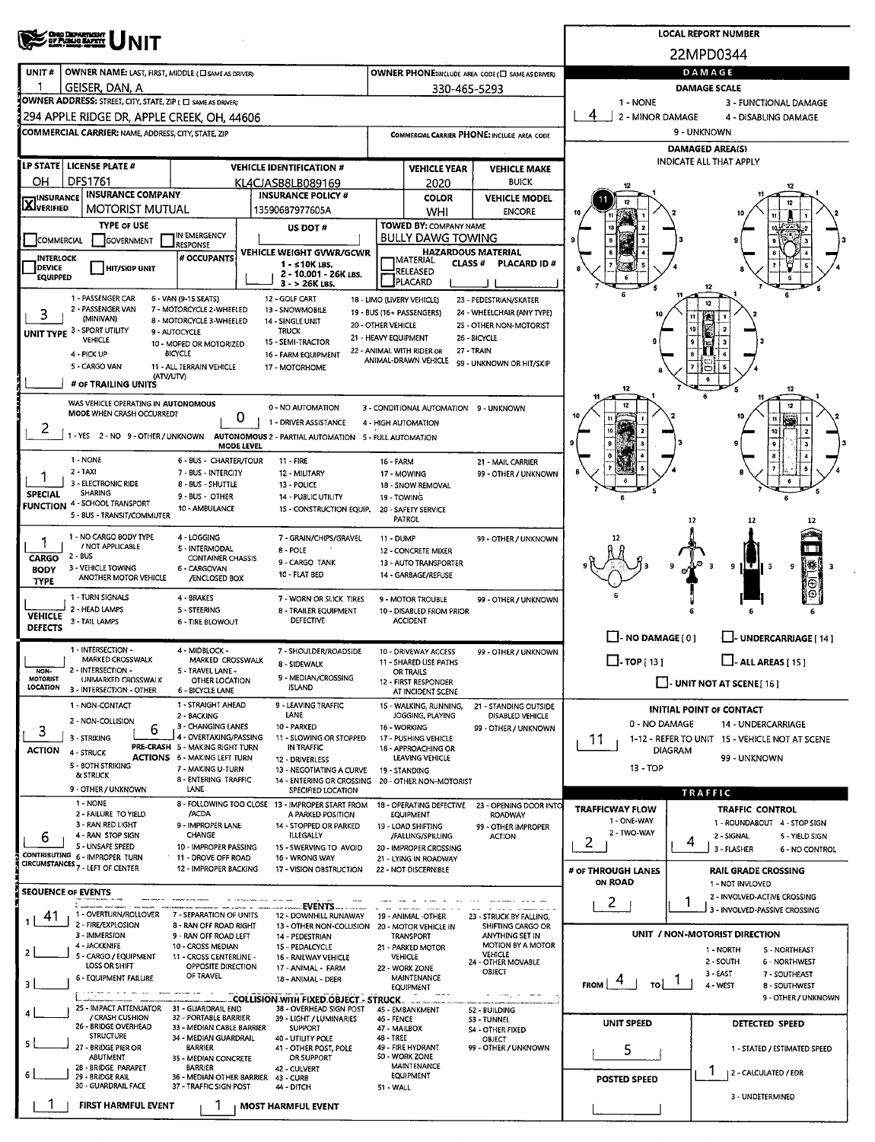| <b>OHO DEPARTMENT</b><br>OZ PUBLIC BATER                                                                                                                                   | <b>LOCAL REPORT NUMBER</b>                                           |                                                      |                                                                               |                                                                 |  |  |  |  |  |
|----------------------------------------------------------------------------------------------------------------------------------------------------------------------------|----------------------------------------------------------------------|------------------------------------------------------|-------------------------------------------------------------------------------|-----------------------------------------------------------------|--|--|--|--|--|
| <b>NIT</b>                                                                                                                                                                 | 22MPD0344                                                            |                                                      |                                                                               |                                                                 |  |  |  |  |  |
| UNIT#<br>OWNER NAME: LAST, FIRST, MIDDLE (CI SAME AS DRIVER)                                                                                                               | OWNER PHONE:INCLUDE AREA CODE (C) SAME AS DRIVER)                    |                                                      | DAMAGE                                                                        |                                                                 |  |  |  |  |  |
| GEISER, DAN, A                                                                                                                                                             | 330-465-5293                                                         |                                                      | <b>DAMAGE SCALE</b>                                                           |                                                                 |  |  |  |  |  |
| OWNER ADDRESS: STREET, CITY, STATE, ZIP ( C SAME AS DRIVER)                                                                                                                | 1 - NONE                                                             | 3 - FUNCTIONAL DAMAGE                                |                                                                               |                                                                 |  |  |  |  |  |
| 294 APPLE RIDGE DR, APPLE CREEK, OH, 44606                                                                                                                                 |                                                                      |                                                      | 4<br>2 - MINOR DAMAGE                                                         | 4 - DISABLING DAMAGE                                            |  |  |  |  |  |
| COMMERCIAL CARRIER: NAME, ADDRESS, CITY, STATE, ZIP                                                                                                                        | COMMERCIAL CARRIER PHONE: INCLUDE AREA CODE                          |                                                      |                                                                               | 9 - UNKNOWN                                                     |  |  |  |  |  |
| LP STATE   LICENSE PLATE #                                                                                                                                                 |                                                                      |                                                      |                                                                               | <b>DAMAGED AREA(S)</b><br><b>INDICATE ALL THAT APPLY</b>        |  |  |  |  |  |
| <b>VEHICLE IDENTIFICATION #</b><br><b>DFS1761</b><br>OН<br>KL4CJASB8LB089169                                                                                               | <b>VEHICLE YEAR</b><br>2020                                          | <b>VEHICLE MAKE</b><br><b>BUICK</b>                  |                                                                               |                                                                 |  |  |  |  |  |
| <b>INSURANCE COMPANY</b><br><b>INSURANCE POLICY #</b><br><b>INSURANCE</b>                                                                                                  | <b>COLOR</b>                                                         | <b>VEHICLE MODEL</b>                                 |                                                                               |                                                                 |  |  |  |  |  |
| <b>LX</b> JVERIFIED<br><b>MOTORIST MUTUAL</b><br>13590687977605A                                                                                                           | WHI                                                                  | <b>ENCORE</b>                                        |                                                                               |                                                                 |  |  |  |  |  |
| <b>TYPE OF USE</b><br>US DOT #<br>IN EMERGENCY                                                                                                                             | TOWED BY: COMPANY NAME<br>BULLY DAWG TOWING                          |                                                      |                                                                               |                                                                 |  |  |  |  |  |
| COMMERCIAL<br>GOVERNMENT<br><b>RESPONSE</b><br>VEHICLE WEIGHT GVWR/GCWR                                                                                                    |                                                                      | <b>HAZARDOUS MATERIAL</b>                            |                                                                               |                                                                 |  |  |  |  |  |
| # OCCUPANTS<br><b>INTERLOCK</b><br>$1 - 10K$ LBS.<br>DEVICE<br>HIT/SKIP UNIT<br>2 - 10.001 - 26K LBS.                                                                      | MATERIAL<br>CLASS #<br>RELEASED                                      | <b>PLACARD ID#</b>                                   |                                                                               |                                                                 |  |  |  |  |  |
| <b>EQUIPPED</b><br>3 - > 26K LBS.                                                                                                                                          | PLACARD                                                              |                                                      |                                                                               |                                                                 |  |  |  |  |  |
| 1 - PASSENGER CAR<br>6 - VAN (9-15 SEATS)<br>12 - GOLF CART<br>2 - PASSENGER VAN<br>7 - MOTORCYCLE 2-WHEELED<br>13 - SNOWMOBILE                                            | 18 - LIMO (LIVERY VEHICLE)<br>19 - BUS (16+ PASSENGERS)              | 23 - PEDESTRIAN/SKATER<br>24 - WHEELCHAIR (ANY TYPE) |                                                                               | 12                                                              |  |  |  |  |  |
| 3<br>(MINIVAN)<br>8 - MOTORCYCLE 3-WHEELED<br>14 - SINGLE UNIT<br>20 - OTHER VEHICLE                                                                                       | 10                                                                   | n<br>10                                              |                                                                               |                                                                 |  |  |  |  |  |
| UNIT TYPE 3 - SPORT UTILITY<br><b>TRUCK</b><br>9 - AUTOCYCLE<br>21 - HEAVY EQUIPMENT<br>VEHICLE<br>15 - SEMI-TRACTOR<br>10 - MOPED OR MOTORIZED                            | 26 - BICYCLE                                                         |                                                      |                                                                               |                                                                 |  |  |  |  |  |
| <b>BICYCLE</b><br>4 - PICK UP<br>16 - FARM EQUIPMENT                                                                                                                       | 22 - ANIMAL WITH RIDER OR<br>ANIMAL-DRAWN VEHICLE                    | 27 - TRAIN<br>99 - UNKNOWN OR HIT/SKIP               |                                                                               |                                                                 |  |  |  |  |  |
| 5 - CARGO VAN<br>11 - ALL TERRAIN VEHICLE<br>17 - MOTORHOME<br>(ATV/UTV)                                                                                                   |                                                                      |                                                      |                                                                               |                                                                 |  |  |  |  |  |
| # OF TRAILING UNITS                                                                                                                                                        |                                                                      |                                                      |                                                                               |                                                                 |  |  |  |  |  |
| WAS VEHICLE OPERATING IN AUTONOMOUS<br>0 - NO AUTOMATION<br>MODE WHEN CRASH OCCURRED?<br>0                                                                                 | 3 - CONDITIONAL AUTOMATION 9 - UNKNOWN                               |                                                      |                                                                               |                                                                 |  |  |  |  |  |
| 1 - DRIVER ASSISTANCE<br>2<br>1 - YES 2 - NO 9 - OTHER / UNKNOWN AUTONOMOUS 2 - PARTIAL AUTOMATION 5 - FULL AUTOMATION                                                     | 4 - HIGH AUTOMATION                                                  |                                                      |                                                                               |                                                                 |  |  |  |  |  |
| <b>MODE LEVEL</b>                                                                                                                                                          |                                                                      |                                                      |                                                                               |                                                                 |  |  |  |  |  |
| 1 - NONE<br>6 - BUS - CHARTER/TOUR<br>11 - FIRE<br>2 - TAXI<br>7 - BUS - INTERCITY<br>12 - MILITARY                                                                        | <b>16 - FARM</b><br>17 - MOWING                                      | 21 MAIL CARRIER<br>99 - OTHER / UNKNOWN              |                                                                               |                                                                 |  |  |  |  |  |
| 3 - ELECTRONIC RIDE<br>8 - BUS - SHUTTLE<br>13 - POLICE                                                                                                                    | 18 - SNOW REMOVAL                                                    |                                                      |                                                                               |                                                                 |  |  |  |  |  |
| <b>SPECIAL</b><br><b>SHARING</b><br>9 - BUS - OTHER<br>14 - PUBLIC UTILITY<br><b>FUNCTION 4 - SCHOOL TRANSPORT</b><br>10 - AMBULANCE<br>15 - CONSTRUCTION EQUIP.           | 19 - TOWING<br>20 - SAFETY SERVICE                                   |                                                      |                                                                               |                                                                 |  |  |  |  |  |
| 5 - BUS - TRANSIT/COMMUTER                                                                                                                                                 | PATROL                                                               |                                                      |                                                                               | 12                                                              |  |  |  |  |  |
| 1 - NO CARGO BODY TYPE<br>4 - LOGGING<br>7 - GRAIN/CHIPS/GRAVEL<br>/ NOT APPLICABLE                                                                                        | <b>11 - DUMP</b>                                                     | 99 - OTHER / UNKNOWN                                 |                                                                               |                                                                 |  |  |  |  |  |
| 5 - INTERMODAL<br>8 - POLE<br>2 - BUS<br><b>CARGO</b><br><b>CONTAINER CHASSIS</b><br>9 - CARGO TANK                                                                        | 12 - CONCRETE MIXER<br>13 - AUTO TRANSPORTER                         |                                                      |                                                                               |                                                                 |  |  |  |  |  |
| 3 - VEHICLE TOWING<br>6 - CARGOVAN<br><b>BODY</b><br>10 - FLAT BED<br>ANOTHER MOTOR VEHICLE<br>/ENCLOSED BOX<br><b>TYPE</b>                                                | 14 - GARBAGE/REFUSE                                                  |                                                      |                                                                               | [ ∰ <br>9<br>9<br>- 3                                           |  |  |  |  |  |
| 1 - TURN SIGNALS<br>4 - BRAKES<br>7 - WORN OR SLICK TIRES                                                                                                                  | 9 - MOTOR TROUBLE                                                    | 99 - OTHER / UNKNOWN                                 |                                                                               | ⊕Ι<br>$\Theta$                                                  |  |  |  |  |  |
| 2 - HEAD LAMPS<br>5 - STEERING<br>8 - TRAILER EQUIPMENT<br><b>VEHICLE</b>                                                                                                  | 10 - DISABLED FROM PRIOR                                             |                                                      |                                                                               |                                                                 |  |  |  |  |  |
| DEFECTIVE<br>3 - TAIL LAMPS<br><b>6 - TIRE BLOWOUT</b><br><b>DEFECTS</b>                                                                                                   | <b>ACCIDENT</b>                                                      |                                                      | $\Box$ - NO DAMAGE $[0]$<br>LI- UNDERCARRIAGE [ 14 ]                          |                                                                 |  |  |  |  |  |
| 1 - INTERSECTION -<br>4 - MIDBLOCK -<br>7 - SHOULDER/ROADSIDE                                                                                                              | 10 - DRIVEWAY ACCESS                                                 | 99 - OTHER / UNKNOWN                                 |                                                                               |                                                                 |  |  |  |  |  |
| MARKED CROSSWALK<br>MARKED CROSSWALK<br>8 - SIDEWALK<br>2 - INTERSECTION -<br>5 - TRAVEL LANE -<br>NON-                                                                    | 11 - SHARED USE PATHS<br>OR TRAILS                                   |                                                      | $\Box$ -TOP [13]<br>$\Box$ - ALL AREAS [ 15 ]                                 |                                                                 |  |  |  |  |  |
| 9 - MEDIAN/CROSSING<br><b>MOTORIST</b><br>UNMARKED CROSSWALK<br>OTHER LOCATION<br><b>LOCATION</b><br><b>ISLAND</b><br>3 - INTERSECTION - OTHER<br>6 - BICYCLE LANE         | 12 - FIRST RESPONDER                                                 |                                                      | $\Box$ - UNIT NOT AT SCENE [16]                                               |                                                                 |  |  |  |  |  |
| 1 - STRAIGHT AHEAD<br>9 - LEAVING TRAFFIC<br>1 - NON-CONTACT                                                                                                               | AT INCIDENT SCENE<br>15 - WALKING, RUNNING,                          | 21 - STANDING OUTSIDE                                |                                                                               |                                                                 |  |  |  |  |  |
| <b>LANE</b><br>2 - BACKING<br>2 - NON-COLLISION<br>3 - CHANGING LANES<br>10 - PARKED                                                                                       | JOGGING, PLAYING                                                     | DISABLED VEHICLE                                     | <b>INITIAL POINT OF CONTACT</b><br>0 - NO DAMAGE<br><b>14 - UNDERCARRIAGE</b> |                                                                 |  |  |  |  |  |
| 3<br>6<br>4 - OVERTAKING/PASSING<br>3 - STRIKING<br>11 - SLOWING OR STOPPED                                                                                                | 16 - WORKING<br>17 - PUSHING VEHICLE                                 | 99 - OTHER / UNKNOWN                                 | 11<br>1-12 - REFER TO UNIT 15 - VEHICLE NOT AT SCENE                          |                                                                 |  |  |  |  |  |
| PRE-CRASH 5 - MAKING RIGHT TURN<br>IN TRAFFIC<br><b>ACTION</b><br>4 - STRUCK<br><b>ACTIONS 6 - MAKING LEFT TURN</b><br>12 - DRIVERLESS                                     | 18 - APPROACHING OR<br>LEAVING VEHICLE                               |                                                      | <b>DIAGRAM</b><br>99 - UNKNOWN                                                |                                                                 |  |  |  |  |  |
| 5 - BOTH STRIKING<br>7 - MAKING U-TURN<br>13 - NEGOTIATING A CURVE<br>& STRUCK<br>8 - ENTERING TRAFFIC                                                                     | 19 - STANDING<br>14 - ENTERING OR CROSSING 20 - OTHER NON-MOTORIST   |                                                      | 13 - TOP                                                                      |                                                                 |  |  |  |  |  |
| 9 - OTHER / UNKNOWN<br><b>LANE</b><br>SPECIFIED LOCATION                                                                                                                   |                                                                      |                                                      |                                                                               | TRAFFIC                                                         |  |  |  |  |  |
| 1 - NONE<br>8 - FOLLOWING TOO CLOSE 13 - IMPROPER START FROM<br>/ACDA<br>2 - FAILURE TO YIELD<br>A PARKED POSITION                                                         | 18 - OPERATING DEFECTIVE<br><b>EQUIPMENT</b>                         | 23 - OPENING DOOR INTO<br><b>ROADWAY</b>             | <b>TRAFFICWAY FLOW</b>                                                        | <b>TRAFFIC CONTROL</b>                                          |  |  |  |  |  |
| 3 - RAN RED LIGHT<br>9 - IMPROPER LANE<br>14 - STOPPED OR PARKED<br><b>CHANGE</b><br>4 - RAN STOP SIGN<br>ILLEGALLY                                                        | 19 - LOAD SHIFTING<br>/FALLING/SPILLING                              | 99 - OTHER IMPROPER<br><b>ACTION</b>                 | 1 - ONE-WAY<br>2 - TWO-WAY                                                    | 1 - ROUNDABOUT 4 - STOP SIGN<br>2 - SIGNAL<br>5 - YIELD SIGN    |  |  |  |  |  |
| 6<br>5 - UNSAFE SPEED<br>10 - IMPROPER PASSING<br>15 - SWERVING TO AVOID                                                                                                   | 20 - IMPROPER CROSSING                                               |                                                      | 2                                                                             | 4<br>3 - FLASHER<br>6 - NO CONTROL                              |  |  |  |  |  |
| CONTRIBUTING 6 - IMPROPER TURN<br>11 - DROVE OFF ROAD<br>16 - WRONG WAY<br>CIRCUMSTANCES <sub>7</sub> - LEFT OF CENTER<br>12 - IMPROPER BACKING<br>17 - VISION OBSTRUCTION | 21 - LYING IN ROADWAY<br>22 - NOT DISCERNIBLE                        |                                                      | # OF THROUGH LANES                                                            | <b>RAIL GRADE CROSSING</b>                                      |  |  |  |  |  |
|                                                                                                                                                                            |                                                                      |                                                      | ON ROAD                                                                       | 1 - NOT INVLOVED                                                |  |  |  |  |  |
| <b>SEQUENCE OF EVENTS</b><br>EVENTS                                                                                                                                        |                                                                      |                                                      | 2                                                                             | 2 - INVOLVED-ACTIVE CROSSING                                    |  |  |  |  |  |
| 1 - OVERTURN/ROLLOVER<br>7 - SEPARATION OF UNITS<br>12 - DOWNHILL RUNAWAY<br>41<br>2 - FIRE/EXPLOSION<br>8 - RAN OFF ROAD RIGHT                                            | 19 - ANIMAL -OTHER<br>13 - OTHER NON-COLLISION 20 - MOTOR VEHICLE IN | 23 - STRUCK BY FALLING,<br>SHIFTING CARGO OR         |                                                                               | 3 - INVOLVED-PASSIVE CROSSING                                   |  |  |  |  |  |
| 3 - IMMERSION<br>9 - RAN OFF ROAD LEFT<br>14 - PEDESTRIAN                                                                                                                  | <b>TRANSPORT</b>                                                     | ANYTHING SET IN<br>MOTION BY A MOTOR                 |                                                                               | UNIT / NON-MOTORIST DIRECTION                                   |  |  |  |  |  |
| 4 - JACKKNIFE<br>10 - CROSS MEDIAN<br>15 - PEDALCYCLE<br>5 - CARGO / EQUIPMENT<br>11 - CROSS CENTERLINE -<br>16 - RAILWAY VEHICLE                                          | 21 - PARKED MOTOR<br><b>VEHICLE</b>                                  | <b>VEHICLE</b><br>24 - OTHER MOVABLE                 |                                                                               | 1 - NORTH<br>5 - NORTHEAST<br>2 - SOUTH<br><b>6 - NORTHWEST</b> |  |  |  |  |  |
| LOSS OR SHIFT<br>OPPOSITE DIRECTION<br>17 - ANIMAL - FARM<br>OF TRAVEL<br>6 - EQUIPMENT FAILURE<br>18 - ANIMAL - DEER                                                      |                                                                      | 3 - EAST<br>7 - SOUTHEAST                            |                                                                               |                                                                 |  |  |  |  |  |
| MAINTENANCE<br><b>FROM</b><br>TO I<br>4 - WEST<br>8 - SOUTHWEST<br><b>EQUIPMENT</b><br>9 - OTHER / UNKNOWN<br>COLLISION WITH FIXED OBJECT . STRUCK.                        |                                                                      |                                                      |                                                                               |                                                                 |  |  |  |  |  |
| 25 - IMPACT ATTENUATOR<br>31 - GUARDRAIL END<br>38 - OVERHEAD SIGN POST                                                                                                    | 45 - EMBANKMENT                                                      | 52 - BUILDING                                        |                                                                               |                                                                 |  |  |  |  |  |
| / CRASH CUSHION<br>32 - PORTABLE BARRIER<br>39 - LIGHT / LUMINARIES<br>26 - BRIDGE OVERHEAD<br>33 - MEDIAN CABLE BARRIER<br><b>SUPPORT</b>                                 | <b>46 - FENCE</b><br>47 - MAILBOX                                    | 53 - TUNNEL<br>54 - OTHER FIXED                      | UNIT SPEED                                                                    | DETECTED SPEED                                                  |  |  |  |  |  |
| <b>STRUCTURE</b><br>34 - MEDIAN GUARDRAIL<br>40 - UTILITY POLE<br>27 - BRIDGE PIER OR<br><b>BARRIER</b><br>41 - OTHER POST, POLE                                           | 48 - TREE<br>49 - FIRE HYDRANT                                       | OBJECT<br>99 - OTHER / UNKNOWN                       | 5<br>1 - STATED / ESTIMATED SPEED                                             |                                                                 |  |  |  |  |  |
| ABUTMENT<br>OR SUPPORT<br>35 - MEDIAN CONCRETE<br>28 - BRIDGE PARAPET<br><b>BARRIER</b><br>42 - CULVERT                                                                    | 50 - WORK ZONE<br>MAINTENANCE                                        |                                                      |                                                                               |                                                                 |  |  |  |  |  |
| 29 - BRIDGE RAIL<br>36 - MEDIAN OTHER BARRIER 43 - CURB<br>30 - GUARDRAIL FACE<br>37 - TRAFFIC SIGN POST<br>44 - DITCH                                                     | <b>EQUIPMENT</b><br>51 - WALL                                        |                                                      | <b>POSTED SPEED</b>                                                           | ı<br>2 - CALCULATED / EDR                                       |  |  |  |  |  |
| <b>FIRST HARMFUL EVENT</b>                                                                                                                                                 |                                                                      |                                                      |                                                                               | 3 - UNDETERMINED                                                |  |  |  |  |  |
| <b>MOST HARMFUL EVENT</b>                                                                                                                                                  |                                                                      |                                                      |                                                                               |                                                                 |  |  |  |  |  |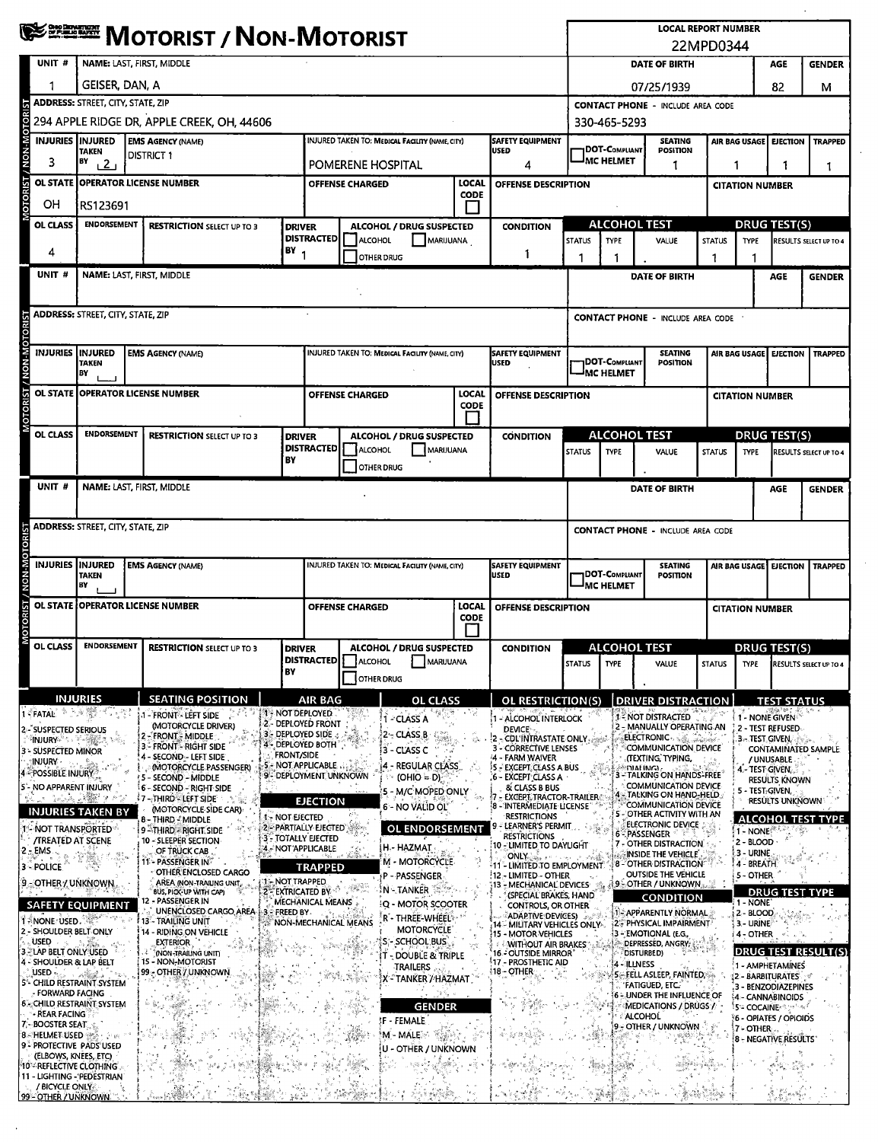|                                                                                                                                                                                                                                                                                                                                  |                                                                                                                                                     | <b>NOTORIST / NON-MOTORIST</b>                                            |                                                                                            |                                                                                                                                          |                   |                                                                                                  |                                                                                           |                                                                                       |                                                                               |                                                                                |                                                   | <b>LOCAL REPORT NUMBER</b><br>22MPD0344                                     |                                                    |                                                    |                                                                                    |                                      |                               |  |  |
|----------------------------------------------------------------------------------------------------------------------------------------------------------------------------------------------------------------------------------------------------------------------------------------------------------------------------------|-----------------------------------------------------------------------------------------------------------------------------------------------------|---------------------------------------------------------------------------|--------------------------------------------------------------------------------------------|------------------------------------------------------------------------------------------------------------------------------------------|-------------------|--------------------------------------------------------------------------------------------------|-------------------------------------------------------------------------------------------|---------------------------------------------------------------------------------------|-------------------------------------------------------------------------------|--------------------------------------------------------------------------------|---------------------------------------------------|-----------------------------------------------------------------------------|----------------------------------------------------|----------------------------------------------------|------------------------------------------------------------------------------------|--------------------------------------|-------------------------------|--|--|
|                                                                                                                                                                                                                                                                                                                                  | UNIT#                                                                                                                                               | NAME: LAST, FIRST, MIDDLE                                                 |                                                                                            |                                                                                                                                          |                   |                                                                                                  |                                                                                           |                                                                                       |                                                                               | <b>DATE OF BIRTH</b><br>AGE<br><b>GENDER</b>                                   |                                                   |                                                                             |                                                    |                                                    |                                                                                    |                                      |                               |  |  |
|                                                                                                                                                                                                                                                                                                                                  |                                                                                                                                                     | GEISER, DAN, A                                                            |                                                                                            |                                                                                                                                          |                   |                                                                                                  |                                                                                           |                                                                                       |                                                                               | 07/25/1939<br>82                                                               |                                                   |                                                                             |                                                    |                                                    |                                                                                    | м                                    |                               |  |  |
|                                                                                                                                                                                                                                                                                                                                  | <b>ADDRESS: STREET, CITY, STATE, ZIP</b>                                                                                                            |                                                                           |                                                                                            |                                                                                                                                          |                   |                                                                                                  |                                                                                           |                                                                                       |                                                                               |                                                                                | <b>CONTACT PHONE - INCLUDE AREA CODE</b>          |                                                                             |                                                    |                                                    |                                                                                    |                                      |                               |  |  |
|                                                                                                                                                                                                                                                                                                                                  |                                                                                                                                                     |                                                                           | 294 APPLE RIDGE DR, APPLE CREEK, OH, 44606                                                 |                                                                                                                                          |                   |                                                                                                  |                                                                                           |                                                                                       |                                                                               |                                                                                |                                                   | 330-465-5293                                                                |                                                    |                                                    |                                                                                    |                                      |                               |  |  |
|                                                                                                                                                                                                                                                                                                                                  | INJURIES IINJURED                                                                                                                                   | TAKEN                                                                     |                                                                                            | <b>EMS AGENCY (NAME)</b><br><b>DISTRICT 1</b>                                                                                            |                   | <b>SAFETY EQUIPMENT</b><br><b>INJURED TAKEN TO: MEDICAL FACILITY (NAME, CITY)</b><br><b>USED</b> |                                                                                           |                                                                                       |                                                                               | <b>SEATING</b><br>DOT-Compliant<br><b>POSITION</b>                             |                                                   |                                                                             | AIR BAG USAGE<br><b>TRAPPED</b><br><b>EJECTION</b> |                                                    |                                                                                    |                                      |                               |  |  |
|                                                                                                                                                                                                                                                                                                                                  | 3                                                                                                                                                   | BY<br>$\sqrt{2}$                                                          |                                                                                            |                                                                                                                                          |                   | POMERENE HOSPITAL<br>4                                                                           |                                                                                           |                                                                                       |                                                                               | <sup>I</sup> MC HELMET<br>1                                                    |                                                   |                                                                             |                                                    | 1<br>1<br>1                                        |                                                                                    |                                      |                               |  |  |
| MOTORIST / NON-MOTORIST                                                                                                                                                                                                                                                                                                          | <b>OL STATE</b>                                                                                                                                     | <b>OPERATOR LICENSE NUMBER</b>                                            |                                                                                            |                                                                                                                                          |                   |                                                                                                  | LOCAL<br><b>OFFENSE CHARGED</b><br>OFFENSE DESCRIPTION<br><b>CODE</b>                     |                                                                                       |                                                                               |                                                                                |                                                   |                                                                             |                                                    | <b>CITATION NUMBER</b>                             |                                                                                    |                                      |                               |  |  |
|                                                                                                                                                                                                                                                                                                                                  | OН<br><b>OL CLASS</b>                                                                                                                               | RS123691<br><b>ENDORSEMENT</b>                                            |                                                                                            |                                                                                                                                          |                   | <b>DRIVER</b>                                                                                    | ALCOHOL / DRUG SUSPECTED<br><b>CONDITION</b>                                              |                                                                                       |                                                                               |                                                                                | <b>ALCOHOL TEST</b>                               |                                                                             |                                                    |                                                    | <b>DRUG TEST(S)</b>                                                                |                                      |                               |  |  |
|                                                                                                                                                                                                                                                                                                                                  |                                                                                                                                                     | <b>RESTRICTION SELECT UP TO 3</b>                                         |                                                                                            |                                                                                                                                          | <b>DISTRACTED</b> | ALCOHOL                                                                                          | MARIJUANA                                                                                 |                                                                                       |                                                                               | <b>STATUS</b>                                                                  | <b>TYPE</b>                                       | VALUE                                                                       | <b>STATUS</b>                                      | <b>TYPE</b>                                        |                                                                                    | RESULTS SELECT UP TO 4               |                               |  |  |
|                                                                                                                                                                                                                                                                                                                                  | 4                                                                                                                                                   |                                                                           |                                                                                            |                                                                                                                                          | BY <sub>1</sub>   | OTHER DRUG                                                                                       |                                                                                           |                                                                                       | 1                                                                             |                                                                                | 1                                                 |                                                                             | 1                                                  |                                                    |                                                                                    |                                      |                               |  |  |
|                                                                                                                                                                                                                                                                                                                                  | UNIT #                                                                                                                                              |                                                                           |                                                                                            | NAME: LAST, FIRST, MIDDLE                                                                                                                |                   |                                                                                                  |                                                                                           |                                                                                       |                                                                               |                                                                                |                                                   | <b>DATE OF BIRTH</b>                                                        |                                                    |                                                    |                                                                                    | <b>AGE</b>                           | <b>GENDER</b>                 |  |  |
|                                                                                                                                                                                                                                                                                                                                  |                                                                                                                                                     | ADDRESS: STREET, CITY, STATE, ZIP                                         |                                                                                            |                                                                                                                                          |                   |                                                                                                  |                                                                                           |                                                                                       |                                                                               |                                                                                | CONTACT PHONE - INCLUDE AREA CODE                 |                                                                             |                                                    |                                                    |                                                                                    |                                      |                               |  |  |
| MOTORIST / NON-MOTORIST                                                                                                                                                                                                                                                                                                          |                                                                                                                                                     | <b>INJURIES INJURED</b><br><b>EMS AGENCY (NAME)</b><br><b>TAKEN</b><br>BY |                                                                                            |                                                                                                                                          |                   | <b>INJURED TAKEN TO: MEDICAL FACILITY (NAME, CITY)</b><br><b>SAFETY EQUIPMENT</b><br><b>USED</b> |                                                                                           |                                                                                       | <b>SEATING</b><br><b>DOT-COMPLIANT</b><br><b>POSITION</b><br><b>MC HELMET</b> |                                                                                |                                                   |                                                                             | AIR BAG USAGE<br><b>EJECTION   TRAPPED</b>         |                                                    |                                                                                    |                                      |                               |  |  |
|                                                                                                                                                                                                                                                                                                                                  |                                                                                                                                                     |                                                                           |                                                                                            | OL STATE OPPERATOR LICENSE NUMBER                                                                                                        |                   |                                                                                                  | LOCAL<br><b>OFFENSE CHARGED</b><br>OFFENSE DESCRIPTION                                    |                                                                                       |                                                                               |                                                                                |                                                   |                                                                             |                                                    |                                                    | <b>CITATION NUMBER</b>                                                             |                                      |                               |  |  |
|                                                                                                                                                                                                                                                                                                                                  |                                                                                                                                                     | <b>CODE</b><br>H                                                          |                                                                                            |                                                                                                                                          |                   |                                                                                                  |                                                                                           |                                                                                       |                                                                               |                                                                                |                                                   |                                                                             |                                                    |                                                    |                                                                                    |                                      |                               |  |  |
|                                                                                                                                                                                                                                                                                                                                  | OL CLASS                                                                                                                                            | <b>ENDORSEMENT</b>                                                        |                                                                                            | <b>RESTRICTION SELECT UP TO 3</b>                                                                                                        | <b>DRIVER</b>     | <b>DISTRACTED</b>                                                                                | <b>ALCOHOL / DRUG SUSPECTED</b><br><b>CONDITION</b>                                       |                                                                                       |                                                                               |                                                                                | <b>ALCOHOL TEST</b>                               |                                                                             |                                                    | <b>DRUG TEST(S)</b>                                |                                                                                    |                                      |                               |  |  |
|                                                                                                                                                                                                                                                                                                                                  |                                                                                                                                                     |                                                                           |                                                                                            |                                                                                                                                          | BY                |                                                                                                  | <b>ALCOHOL</b><br>OTHER DRUG                                                              | MARUUANA                                                                              |                                                                               |                                                                                | <b>STATUS</b>                                     | <b>TYPE</b>                                                                 | VALUE                                              | <b>STATUS</b>                                      | <b>TYPE</b>                                                                        |                                      | <b>RESULTS SELECT UP TO 4</b> |  |  |
|                                                                                                                                                                                                                                                                                                                                  | UNIT #                                                                                                                                              |                                                                           |                                                                                            | NAME: LAST, FIRST, MIDDLE                                                                                                                |                   |                                                                                                  |                                                                                           |                                                                                       |                                                                               |                                                                                |                                                   |                                                                             | <b>DATE OF BIRTH</b>                               |                                                    |                                                                                    | AGE                                  | <b>GENDER</b>                 |  |  |
|                                                                                                                                                                                                                                                                                                                                  |                                                                                                                                                     |                                                                           |                                                                                            |                                                                                                                                          |                   |                                                                                                  |                                                                                           |                                                                                       |                                                                               |                                                                                |                                                   |                                                                             |                                                    |                                                    |                                                                                    |                                      |                               |  |  |
|                                                                                                                                                                                                                                                                                                                                  | <b>ADDRESS: STREET, CITY, STATE, ZIP</b>                                                                                                            |                                                                           |                                                                                            |                                                                                                                                          |                   |                                                                                                  |                                                                                           |                                                                                       |                                                                               |                                                                                |                                                   |                                                                             | <b>CONTACT PHONE - INCLUDE AREA CODE</b>           |                                                    |                                                                                    |                                      |                               |  |  |
| <b>TRION-MOTORIST</b>                                                                                                                                                                                                                                                                                                            |                                                                                                                                                     | INJURIES INJURED<br><b>EMS AGENCY (NAME)</b><br><b>TAKEN</b><br>BY        |                                                                                            |                                                                                                                                          |                   |                                                                                                  | INJURED TAKEN TO: MEDICAL FACILITY (NAME, CITY)<br><b>SAFETY EQUIPMENT</b><br><b>USED</b> |                                                                                       |                                                                               | <b>SEATING</b><br><b>DOT-COMPLIANT</b><br><b>POSITION</b><br><b>IMC HELMET</b> |                                                   |                                                                             |                                                    | AIR BAG USAGE<br><b>EJECTION</b><br><b>TRAPPED</b> |                                                                                    |                                      |                               |  |  |
| NOTORIST                                                                                                                                                                                                                                                                                                                         | OL STATE                                                                                                                                            | OPERATOR LICENSE NUMBER                                                   |                                                                                            |                                                                                                                                          |                   |                                                                                                  | <b>OFFENSE CHARGED</b>                                                                    |                                                                                       | LOCAL<br><b>CODE</b>                                                          | OFFENSE DESCRIPTION                                                            |                                                   |                                                                             |                                                    |                                                    | <b>CITATION NUMBER</b>                                                             |                                      |                               |  |  |
|                                                                                                                                                                                                                                                                                                                                  | OL CLASS                                                                                                                                            | <b>ENDORSEMENT</b><br><b>RESTRICTION SELECT UP TO 3</b><br><b>DRIVER</b>  |                                                                                            |                                                                                                                                          |                   | <b>DISTRACTED</b>   ALCOHOL                                                                      | <b>ALCOHOL / DRUG SUSPECTED</b><br>MARIJUANA                                              |                                                                                       | <b>CONDITION</b>                                                              | <b>STATUS</b>                                                                  | <b>ALCOHOL TEST</b><br><b>TYPE</b>                | VALUE                                                                       | <b>STATUS</b>                                      | <b>TYPE</b>                                        | <b>DRUG TEST(S)</b>                                                                | <b>RESULTS SELECT UP TO 4</b>        |                               |  |  |
|                                                                                                                                                                                                                                                                                                                                  |                                                                                                                                                     |                                                                           |                                                                                            |                                                                                                                                          | BY                |                                                                                                  | <b>OTHER DRUG</b>                                                                         |                                                                                       |                                                                               |                                                                                |                                                   |                                                                             |                                                    |                                                    |                                                                                    |                                      |                               |  |  |
|                                                                                                                                                                                                                                                                                                                                  | 1 - FATAL I                                                                                                                                         | <b>INJURIES</b>                                                           |                                                                                            | <b>SEATING POSITION</b><br>1 - FRONT - LEFT SIDE                                                                                         | 1 - NOT DEPLOYED  | <b>AIR BAG</b>                                                                                   |                                                                                           | <b>OL CLASS</b>                                                                       |                                                                               | OL RESTRICTION(S)                                                              |                                                   |                                                                             | <b>DRIVER DISTRACTION</b><br>1- NOT DISTRACTED     |                                                    |                                                                                    | <b>TEST STATUS</b><br>1 - NONE GIVEN |                               |  |  |
|                                                                                                                                                                                                                                                                                                                                  | 2-SUSPECTED SERIOUS                                                                                                                                 |                                                                           |                                                                                            | (MOTORCYCLE DRIVER)<br>2 - FRONT - MIDDLE                                                                                                |                   | 2 - DEPLOYED FRONT<br>3 - DEPLOYED SIDE 3                                                        |                                                                                           | Í - CLASS A<br>2 - CLASS B                                                            |                                                                               | - ALCOHOL INTERLOCK<br><b>DEVICE</b><br><b>CDL'INTRASTATE ONLY</b>             |                                                   |                                                                             | 2 - MANUALLY OPERATING AN<br><b>ELECTRONIC</b>     |                                                    | 3 - TEST GIVEN,                                                                    | 2 - TEST REFUSED                     |                               |  |  |
| ် <b>INJURY</b> း ေ<br>3 - FRONT - RIGHT SIDE<br>3 - SUSPECTED MINOR<br>- SECOND - LEFT SIDE<br><b>INJURY</b>                                                                                                                                                                                                                    |                                                                                                                                                     |                                                                           | <b>FRONT/SIDE</b>                                                                          | 4 - DEPLOYED BOTH                                                                                                                        |                   | 3 - CLASS C                                                                                      |                                                                                           | COMMUNICATION DEVICE<br>3 - CORRECTIVE LENSES<br>4 - FARM WAIVER<br>(TEXTING, TYPING, |                                                                               |                                                                                |                                                   |                                                                             | / UNUSABLE                                         | CONTAMINATED SAMPLE                                |                                                                                    |                                      |                               |  |  |
|                                                                                                                                                                                                                                                                                                                                  | <b>(MOTORCYCLE PASSENGER)</b><br>4 POSSIBLE INJURY<br>5 - SECOND - MIDDLE                                                                           |                                                                           |                                                                                            | - NOT APPLICABLE.<br>9 - DEPLOYMENT UNKNOWN                                                                                              |                   | 4 - REGULAR CLASS<br>5 - EXCEPT CLASS A BUS<br>$(OHIO = D)$<br>6 - EXCEPT CLASS A                |                                                                                           |                                                                                       |                                                                               | mial inica.<br>3 - TALKING ON HANDS-FREE<br>COMMUNICATION DEVICE               |                                                   |                                                                             | 4 - TEST GIVEN,<br><b>RESULTS KNOWN</b>            |                                                    |                                                                                    |                                      |                               |  |  |
|                                                                                                                                                                                                                                                                                                                                  | 5 - NO APPARENT INJURY                                                                                                                              |                                                                           |                                                                                            | 6 - SECOND - RIGHT SIDE<br>7 - THIRD - LEFT SIDE                                                                                         |                   | <b>EJECTION</b>                                                                                  |                                                                                           | 5 - M/C MOPED ONLY                                                                    |                                                                               | & CLASS B BUS<br>- Except.tractor-trailer                                      |                                                   |                                                                             | 4 - TALKING ON HAND-HELD                           |                                                    | 5 - TEST, GIVEN,                                                                   | RESÜLTS UNKNOWN                      |                               |  |  |
| COMMUNICATION DEVICE<br>6 - NO VALID OL'<br>8 - INTERMEDIATE LICENSE"<br>(MOTORCYCLE-SIDE CAR)<br><b>INJURIES TAKEN BY</b><br>5 - OTHER ACTIVITY WITH AN<br><b>RESTRICTIONS</b><br>1 - NOT LIECTED<br><b>ALCOHOL TEST TYPE</b><br>8 - THIRD - MIDDLE<br><b>ELECTRONIC DEVICE:</b><br>- LEARNER'S PERMIT<br>2 - PARTIALLY EJECTED |                                                                                                                                                     |                                                                           |                                                                                            |                                                                                                                                          |                   |                                                                                                  |                                                                                           |                                                                                       |                                                                               |                                                                                |                                                   |                                                                             |                                                    |                                                    |                                                                                    |                                      |                               |  |  |
|                                                                                                                                                                                                                                                                                                                                  | 1'- NOT TRANSPORTED<br>9-THIRD - RIGHT SIDE<br><b>3 - TOTALLY LIECTED</b><br><b>/TREATED AT SCENE</b><br>10 - SLEEPER SECTION<br>4 - NOT APPLICABLE |                                                                           |                                                                                            |                                                                                                                                          |                   |                                                                                                  |                                                                                           | <b>OL ENDORSEMENT</b><br>H. HAZMAT                                                    |                                                                               | RESTRICTIONS<br>10 - LIMITED TO DAYLIGHT                                       | <b>PASSENGER</b><br>-6<br>7 - OTHER DISTRACTION : |                                                                             |                                                    | 1 - NONE <sup>®</sup><br>2 - BLOOD                 |                                                                                    |                                      |                               |  |  |
|                                                                                                                                                                                                                                                                                                                                  | 2 - EMS.<br>OF TRUCK CAB.<br>11 - PASSENGER IN<br>3 - POLICE                                                                                        |                                                                           |                                                                                            |                                                                                                                                          |                   | <b>TRAPPED</b>                                                                                   |                                                                                           | M - MOTORCÝCLE                                                                        |                                                                               | <b>ONLY</b> Sample Concern<br>11 - LIMITED TO EMPLOYMENT.                      |                                                   | $\epsilon$ inside the vehicle $\epsilon$<br><b>S B - OTHER DISTRACTION"</b> |                                                    |                                                    | 3 - Urinë<br>4 - BREATH                                                            |                                      |                               |  |  |
|                                                                                                                                                                                                                                                                                                                                  | OTHER ENCLOSED CARGO<br><b>1: NOT TRAPPED</b><br>AREA (NON-TRAILING UNIT,<br>9 - OTHER / UNKNOWN<br>EXTRICATED BY<br><b>BUS, PICK-UP WITH CAP)</b>  |                                                                           |                                                                                            |                                                                                                                                          |                   |                                                                                                  |                                                                                           | P - PASSENGER<br>$N$ - Tanker $\sim$                                                  |                                                                               | :12 - LIMITED - OTHER<br>:13 - MECHANICAL DEVICES                              |                                                   | OUTSIDE THE VEHICLE<br>.≹9≒OTHER / UNKNOWN                                  |                                                    |                                                    | 5 - OTHER<br><b>DRUG TEST TYPE</b>                                                 |                                      |                               |  |  |
| 12 - PASSENGER IN<br>MECHANICAL MEANS<br><b>SAFETY EQUIPMENT</b><br>UNENCLOSED CARGO AREA<br>FREED BY.                                                                                                                                                                                                                           |                                                                                                                                                     |                                                                           |                                                                                            |                                                                                                                                          |                   |                                                                                                  |                                                                                           | Q - MOTOR SCOOTER                                                                     |                                                                               | (SPECIAL BRAKES, HAND<br>CONTROLS, OR OTHER                                    |                                                   |                                                                             | <b>CONDITION</b><br>1 - APPARENTLY NORMAL          |                                                    | 1 - NONE<br>2 - BLOOD                                                              |                                      |                               |  |  |
| <b>ENONE USED.</b><br><b>13<sup>7</sup>-TRAILING UNIT</b><br>- SHOULDER BELT ONLY<br>14 - RIDING ON VEHICLE                                                                                                                                                                                                                      |                                                                                                                                                     |                                                                           |                                                                                            | ADAPTIVE DEVICES)<br>r' - Three-Wheel<br>NON-MECHANICAL MEANS<br>14 MILITARY VEHICLES ONLY».<br><b>MOTORCYCLE</b><br>15 - MOTOR VEHICLES |                   |                                                                                                  |                                                                                           | 2: PHYSICAL IMPAIRMENT<br>3 - EMOTIONAL (E.G.,                                        |                                                                               |                                                                                | 3 - URINE<br>4 - OTHER                            |                                                                             |                                                    |                                                    |                                                                                    |                                      |                               |  |  |
| <b>USED</b><br><b>EXTERIOR</b><br>LAP BELT ONLY USED<br>(NON-TRAILING UNIT)                                                                                                                                                                                                                                                      |                                                                                                                                                     |                                                                           | S - SCHOOL BUS<br><b>WITHOUT AIR BRAKES</b><br>16 - OUTSIDE MIRROR"<br>T - DOUBLE & TRIPLE |                                                                                                                                          |                   |                                                                                                  | DEPRESSED, ANGRY;<br>DISTURBED)                                                           |                                                                                       |                                                                               | DRUG TEST RESULT(S)                                                            |                                                   |                                                                             |                                                    |                                                    |                                                                                    |                                      |                               |  |  |
| 15 - NON-MOTORIST<br>4 - SHOULDER & LAP BELT<br>99 - OTHER / UNKNOWN<br>USED ~                                                                                                                                                                                                                                                   |                                                                                                                                                     |                                                                           |                                                                                            |                                                                                                                                          |                   | TRAILERS<br>X - TANKER / HAZMAT                                                                  |                                                                                           | 17 - PROSTHETIC AID<br>∛18 – OTHER                                                    |                                                                               | 4 - ILLNESS<br>5 - FELL ASLEEP, FAINTED, S                                     |                                                   |                                                                             | 1 - AMPHETAMINES<br><b>2 - BARBITURATES</b>        |                                                    |                                                                                    |                                      |                               |  |  |
| 5 <sup>-</sup> CHILD RESTRAINT SYSTEM<br>- FORWARD FACING<br><b>6 - CHILD RESTRAINT SYSTEM</b>                                                                                                                                                                                                                                   |                                                                                                                                                     |                                                                           |                                                                                            |                                                                                                                                          |                   |                                                                                                  |                                                                                           |                                                                                       |                                                                               | <b>FATIGUED, ETC.</b><br>6 - UNDER THE INFLUENCE OF<br>MEDICATIONS / DRUGS /   |                                                   |                                                                             | 3 - BENZODIAZEPINES<br>4 - CANNABINOIDS            |                                                    |                                                                                    |                                      |                               |  |  |
|                                                                                                                                                                                                                                                                                                                                  | - REAR FACING<br>7. - BOOSTER SEAT.                                                                                                                 |                                                                           |                                                                                            |                                                                                                                                          |                   |                                                                                                  |                                                                                           | <b>GENDER</b><br><b>IF - FEMALE</b>                                                   |                                                                               |                                                                                |                                                   | <b>ALCOHOL</b><br>: OTHER / UNKNOWN                                         |                                                    |                                                    | ै5°= COCAINE∗९ फ़ि <sup>ल</sup> कर्म<br>5 - OPIATES / OPIOIDS<br>$7 - \text{OMER}$ |                                      |                               |  |  |
|                                                                                                                                                                                                                                                                                                                                  | 8-HELMET USED 變變 : Hen<br>9 - Protective Pads USED                                                                                                  |                                                                           |                                                                                            |                                                                                                                                          |                   |                                                                                                  |                                                                                           | M - MALE<br>U - OTHER / UNKNOWN                                                       |                                                                               |                                                                                |                                                   |                                                                             |                                                    |                                                    |                                                                                    | <b>8 - NEGATIVE RESULTS</b>          |                               |  |  |
|                                                                                                                                                                                                                                                                                                                                  | (ELBOWS, KNEES, ETC)<br>10 - REFLECTIVE CLOTHING<br>11 - LIGHTING - PEDESTRIAN                                                                      |                                                                           |                                                                                            |                                                                                                                                          |                   |                                                                                                  |                                                                                           |                                                                                       |                                                                               |                                                                                |                                                   |                                                                             |                                                    |                                                    |                                                                                    |                                      |                               |  |  |
|                                                                                                                                                                                                                                                                                                                                  | / BICYCLE ONLY<br>99 - OTHER / UNKNOWN                                                                                                              |                                                                           |                                                                                            |                                                                                                                                          |                   |                                                                                                  |                                                                                           |                                                                                       |                                                                               |                                                                                |                                                   |                                                                             |                                                    |                                                    |                                                                                    |                                      |                               |  |  |

 $\hat{c}$ 

 $\epsilon^{\prime}$